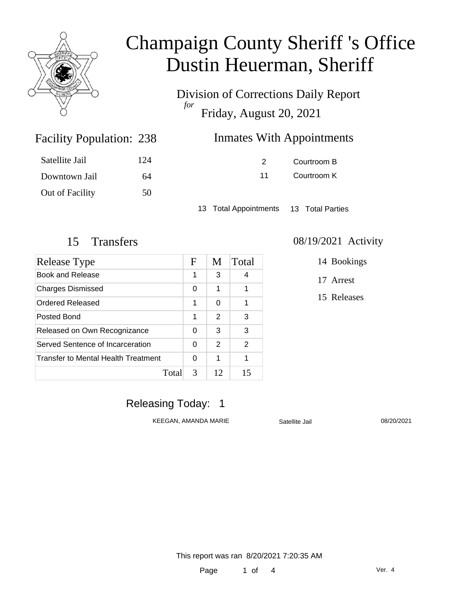

Division of Corrections Daily Report *for* Friday, August 20, 2021

## Inmates With Appointments

| Satellite Jail  | 124 |
|-----------------|-----|
| Downtown Jail   | 64  |
| Out of Facility | 50  |

Facility Population: 238

2 Courtroom B 11 Courtroom K

13 Total Appointments 13 Total Parties

| Release Type                        | $\mathbf F$ | M  | Total |
|-------------------------------------|-------------|----|-------|
| Book and Release                    | 1           | 3  | 4     |
| <b>Charges Dismissed</b>            | 0           | 1  | 1     |
| Ordered Released                    | 1           | 0  | 1     |
| Posted Bond                         | 1           | 2  | 3     |
| Released on Own Recognizance        |             | 3  | 3     |
| Served Sentence of Incarceration    |             | 2  | 2     |
| Transfer to Mental Health Treatment | 0           | 1  | 1     |
| Total                               | 3           | 12 | 15    |

#### 15 Transfers 08/19/2021 Activity

14 Bookings

17 Arrest

15 Releases

### Releasing Today: 1

KEEGAN, AMANDA MARIE Satellite Jail 08/20/2021

This report was ran 8/20/2021 7:20:35 AM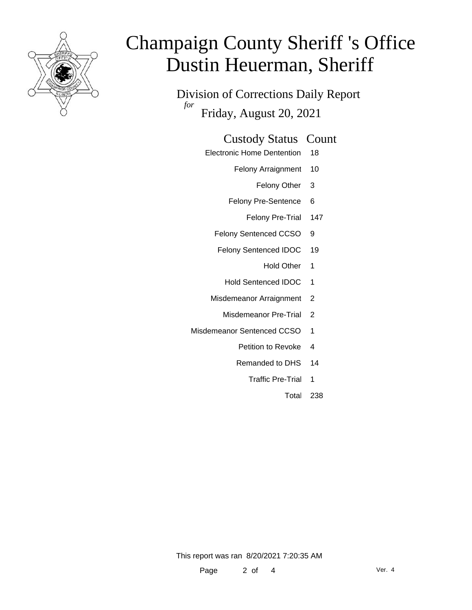

Division of Corrections Daily Report *for* Friday, August 20, 2021

### Custody Status Count

- Electronic Home Dentention 18
	- Felony Arraignment 10
		- Felony Other 3
	- Felony Pre-Sentence 6
		- Felony Pre-Trial 147
	- Felony Sentenced CCSO 9
	- Felony Sentenced IDOC 19
		- Hold Other 1
		- Hold Sentenced IDOC 1
	- Misdemeanor Arraignment 2
		- Misdemeanor Pre-Trial 2
- Misdemeanor Sentenced CCSO 1
	- Petition to Revoke 4
	- Remanded to DHS 14
		- Traffic Pre-Trial 1
			- Total 238

This report was ran 8/20/2021 7:20:35 AM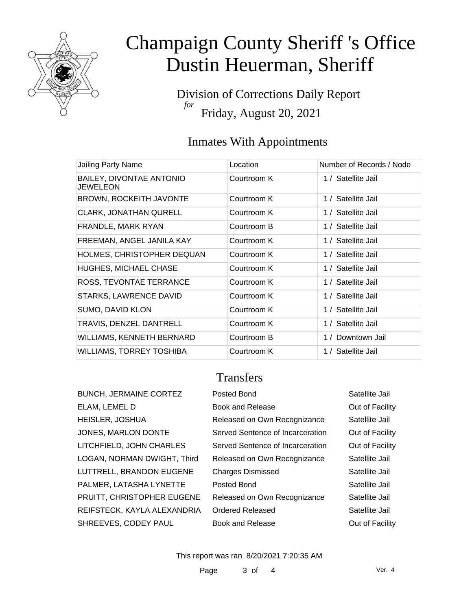

Division of Corrections Daily Report *for* Friday, August 20, 2021

### Inmates With Appointments

| Jailing Party Name                          | Location    | Number of Records / Node |
|---------------------------------------------|-------------|--------------------------|
| BAILEY, DIVONTAE ANTONIO<br><b>JEWELEON</b> | Courtroom K | 1 / Satellite Jail       |
| <b>BROWN, ROCKEITH JAVONTE</b>              | Courtroom K | 1 / Satellite Jail       |
| <b>CLARK, JONATHAN QURELL</b>               | Courtroom K | 1 / Satellite Jail       |
| FRANDLE, MARK RYAN                          | Courtroom B | 1 / Satellite Jail       |
| FREEMAN, ANGEL JANILA KAY                   | Courtroom K | 1 / Satellite Jail       |
| HOLMES, CHRISTOPHER DEQUAN                  | Courtroom K | 1 / Satellite Jail       |
| <b>HUGHES, MICHAEL CHASE</b>                | Courtroom K | 1 / Satellite Jail       |
| ROSS, TEVONTAE TERRANCE                     | Courtroom K | 1 / Satellite Jail       |
| <b>STARKS, LAWRENCE DAVID</b>               | Courtroom K | 1 / Satellite Jail       |
| <b>SUMO, DAVID KLON</b>                     | Courtroom K | 1 / Satellite Jail       |
| TRAVIS, DENZEL DANTRELL                     | Courtroom K | 1 / Satellite Jail       |
| WILLIAMS, KENNETH BERNARD                   | Courtroom B | 1 / Downtown Jail        |
| <b>WILLIAMS, TORREY TOSHIBA</b>             | Courtroom K | 1 / Satellite Jail       |

### **Transfers**

| <b>BUNCH, JERMAINE CORTEZ</b> | Posted Bond                      | Satellite Jail  |
|-------------------------------|----------------------------------|-----------------|
| ELAM, LEMEL D                 | <b>Book and Release</b>          | Out of Facility |
| HEISLER, JOSHUA               | Released on Own Recognizance     | Satellite Jail  |
| JONES, MARLON DONTE           | Served Sentence of Incarceration | Out of Facility |
| LITCHFIELD, JOHN CHARLES      | Served Sentence of Incarceration | Out of Facility |
| LOGAN, NORMAN DWIGHT, Third   | Released on Own Recognizance     | Satellite Jail  |
| LUTTRELL, BRANDON EUGENE      | <b>Charges Dismissed</b>         | Satellite Jail  |
| PALMER, LATASHA LYNETTE       | Posted Bond                      | Satellite Jail  |
| PRUITT, CHRISTOPHER EUGENE    | Released on Own Recognizance     | Satellite Jail  |
| REIFSTECK, KAYLA ALEXANDRIA   | <b>Ordered Released</b>          | Satellite Jail  |
| SHREEVES, CODEY PAUL          | Book and Release                 | Out of Facility |